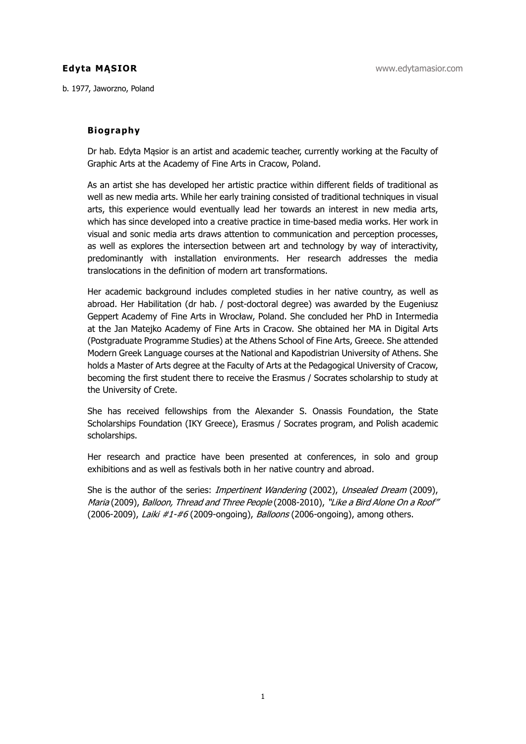b. 1977, Jaworzno, Poland

## **Biography**

Dr hab. Edyta Mąsior is an artist and academic teacher, currently working at the Faculty of Graphic Arts at the Academy of Fine Arts in Cracow, Poland.

As an artist she has developed her artistic practice within different fields of traditional as well as new media arts. While her early training consisted of traditional techniques in visual arts, this experience would eventually lead her towards an interest in new media arts, which has since developed into a creative practice in time-based media works. Her work in visual and sonic media arts draws attention to communication and perception processes, as well as explores the intersection between art and technology by way of interactivity, predominantly with installation environments. Her research addresses the media translocations in the definition of modern art transformations.

Her academic background includes completed studies in her native country, as well as abroad. Her Habilitation (dr hab. / post-doctoral degree) was awarded by the Eugeniusz Geppert Academy of Fine Arts in Wrocław, Poland. She concluded her PhD in Intermedia at the Jan Matejko Academy of Fine Arts in Cracow. She obtained her MA in Digital Arts (Postgraduate Programme Studies) at the Athens School of Fine Arts, Greece. She attended Modern Greek Language courses at the National and Kapodistrian University of Athens. She holds a Master of Arts degree at the Faculty of Arts at the Pedagogical University of Cracow, becoming the first student there to receive the Erasmus / Socrates scholarship to study at the University of Crete.

She has received fellowships from the Alexander S. Onassis Foundation, the State Scholarships Foundation (IKY Greece), Erasmus / Socrates program, and Polish academic scholarships.

Her research and practice have been presented at conferences, in solo and group exhibitions and as well as festivals both in her native country and abroad.

She is the author of the series: *Impertinent Wandering* (2002), *Unsealed Dream* (2009), Maria (2009), Balloon, Thread and Three People (2008-2010), "Like a Bird Alone On a Roof" (2006-2009), Laiki #1-#6 (2009-ongoing), Balloons (2006-ongoing), among others.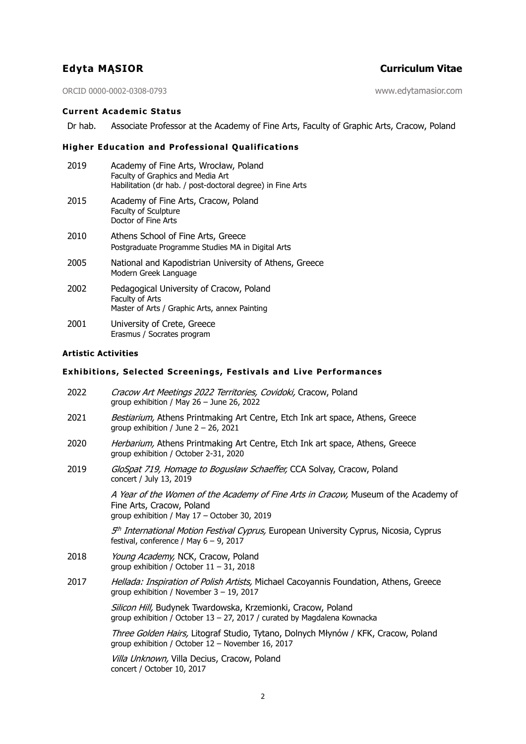# **Edyta MĄSIOR Curriculum Vitae**

ORCID 0000-0002-0308-0793 www.edytamasior.com

## **Current Academic Status**

Dr hab. Associate Professor at the Academy of Fine Arts, Faculty of Graphic Arts, Cracow, Poland

## **Higher Education and Professional Qualifications**

| 2019 | Academy of Fine Arts, Wrocław, Poland<br>Faculty of Graphics and Media Art<br>Habilitation (dr hab. / post-doctoral degree) in Fine Arts |
|------|------------------------------------------------------------------------------------------------------------------------------------------|
| 2015 | Academy of Fine Arts, Cracow, Poland<br>Faculty of Sculpture<br>Doctor of Fine Arts                                                      |
| 2010 | Athens School of Fine Arts, Greece<br>Postgraduate Programme Studies MA in Digital Arts                                                  |
| 2005 | National and Kapodistrian University of Athens, Greece<br>Modern Greek Language                                                          |
| 2002 | Pedagogical University of Cracow, Poland<br>Faculty of Arts<br>Master of Arts / Graphic Arts, annex Painting                             |
| 2001 | University of Crete, Greece<br>Erasmus / Socrates program                                                                                |

## **Artistic Activities**

## **Exhibitions, Selected Screenings, Festivals and Live Performances**

| 2022 | Cracow Art Meetings 2022 Territories, Covidoki, Cracow, Poland<br>group exhibition / May $26 -$ June 26, 2022                                                    |
|------|------------------------------------------------------------------------------------------------------------------------------------------------------------------|
| 2021 | Bestiarium, Athens Printmaking Art Centre, Etch Ink art space, Athens, Greece<br>group exhibition / June $2 - 26$ , 2021                                         |
| 2020 | Herbarium, Athens Printmaking Art Centre, Etch Ink art space, Athens, Greece<br>group exhibition / October 2-31, 2020                                            |
| 2019 | GloSpat 719, Homage to Bogusław Schaeffer, CCA Solvay, Cracow, Poland<br>concert / July 13, 2019                                                                 |
|      | A Year of the Women of the Academy of Fine Arts in Cracow, Museum of the Academy of<br>Fine Arts, Cracow, Poland<br>group exhibition / May 17 - October 30, 2019 |
|      | 5 <sup>th</sup> International Motion Festival Cyprus, European University Cyprus, Nicosia, Cyprus<br>festival, conference / May $6 - 9$ , 2017                   |
| 2018 | Young Academy, NCK, Cracow, Poland<br>group exhibition / October $11 - 31$ , 2018                                                                                |
| 2017 | Hellada: Inspiration of Polish Artists, Michael Cacoyannis Foundation, Athens, Greece<br>group exhibition / November $3 - 19$ , 2017                             |
|      | Silicon Hill, Budynek Twardowska, Krzemionki, Cracow, Poland<br>group exhibition / October 13 - 27, 2017 / curated by Magdalena Kownacka                         |
|      | Three Golden Hairs, Litograf Studio, Tytano, Dolnych Młynów / KFK, Cracow, Poland<br>group exhibition / October 12 - November 16, 2017                           |
|      | Villa Unknown, Villa Decius, Cracow, Poland                                                                                                                      |

concert / October 10, 2017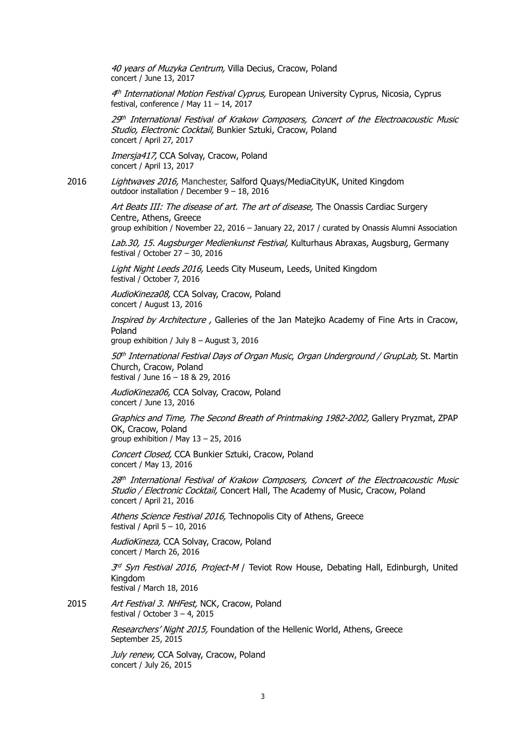40 years of Muzyka Centrum, Villa Decius, Cracow, Poland concert / June 13, 2017

4<sup>th</sup> International Motion Festival Cyprus, European University Cyprus, Nicosia, Cyprus festival, conference / May 11 – 14, 2017

29th International Festival of Krakow Composers, Concert of the Electroacoustic Music Studio, Electronic Cocktail, Bunkier Sztuki, Cracow, Poland concert / April 27, 2017

Imersja417, CCA Solvay, Cracow, Poland concert / April 13, 2017

2016 Lightwaves 2016, Manchester, Salford Quays/MediaCityUK, United Kingdom outdoor installation / December 9 – 18, 2016

> Art Beats III: The disease of art. The art of disease, The Onassis Cardiac Surgery Centre, Athens, Greece

group exhibition / November 22, 2016 – January 22, 2017 / curated by Onassis Alumni Association

Lab.30, 15. Augsburger Medienkunst Festival, Kulturhaus Abraxas, Augsburg, Germany festival / October 27 – 30, 2016

Light Night Leeds 2016, Leeds City Museum, Leeds, United Kingdom festival / October 7, 2016

AudioKineza08, CCA Solvay, Cracow, Poland concert / August 13, 2016

Inspired by Architecture, Galleries of the Jan Mateiko Academy of Fine Arts in Cracow, Poland

group exhibition / July 8 – August 3, 2016

 $50<sup>th</sup> International Festival Days of Organ Music, Organ Understanding of GrupLab, St. Martin$ Church, Cracow, Poland festival / June 16 – 18 & 29, 2016

AudioKineza06, CCA Solvay, Cracow, Poland concert / June 13, 2016

Graphics and Time, The Second Breath of Printmaking 1982-2002, Gallery Pryzmat, ZPAP OK, Cracow, Poland group exhibition / May 13 – 25, 2016

Concert Closed, CCA Bunkier Sztuki, Cracow, Poland

concert / May 13, 2016

 $28<sup>th</sup> International Festival of Krakow Composers, Concert of the Electroacoustic Music$ Studio / Electronic Cocktail, Concert Hall, The Academy of Music, Cracow, Poland concert / April 21, 2016

Athens Science Festival 2016, Technopolis City of Athens, Greece festival / April 5 – 10, 2016

AudioKineza, CCA Solvay, Cracow, Poland concert / March 26, 2016

 $3<sup>d</sup>$  Syn Festival 2016, Project-M / Teviot Row House, Debating Hall, Edinburgh, United Kingdom festival / March 18, 2016

2015 Art Festival 3. NHFest, NCK, Cracow, Poland festival / October  $3 - 4$ , 2015

> Researchers' Night 2015, Foundation of the Hellenic World, Athens, Greece September 25, 2015

July renew, CCA Solvay, Cracow, Poland concert / July 26, 2015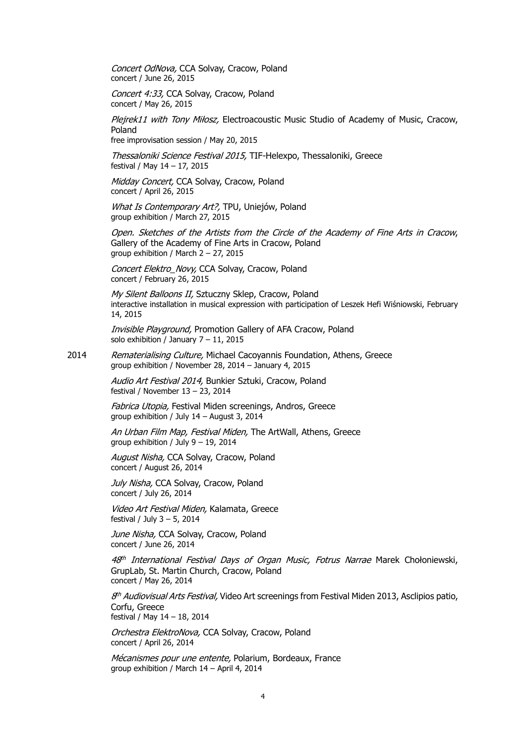Concert OdNova, CCA Solvay, Cracow, Poland concert / June 26, 2015

Concert 4:33, CCA Solvay, Cracow, Poland concert / May 26, 2015

Plejrek11 with Tony Miłosz, Electroacoustic Music Studio of Academy of Music, Cracow, Poland

free improvisation session / May 20, 2015

Thessaloniki Science Festival 2015, TIF-Helexpo, Thessaloniki, Greece festival / May 14 – 17, 2015

Midday Concert, CCA Solvay, Cracow, Poland concert / April 26, 2015

What Is Contemporary Art?, TPU, Uniejów, Poland group exhibition / March 27, 2015

Open. Sketches of the Artists from the Circle of the Academy of Fine Arts in Cracow, Gallery of the Academy of Fine Arts in Cracow, Poland group exhibition / March 2 – 27, 2015

Concert Elektro\_Novy, CCA Solvay, Cracow, Poland concert / February 26, 2015

My Silent Balloons II, Sztuczny Sklep, Cracow, Poland interactive installation in musical expression with participation of Leszek Hefi Wiśniowski, February 14, 2015

Invisible Playground, Promotion Gallery of AFA Cracow, Poland solo exhibition / January  $7 - 11$ , 2015

2014 Rematerialising Culture, Michael Cacoyannis Foundation, Athens, Greece group exhibition / November 28, 2014 – January 4, 2015

> Audio Art Festival 2014, Bunkier Sztuki, Cracow, Poland festival / November 13 – 23, 2014

Fabrica Utopia, Festival Miden screenings, Andros, Greece group exhibition / July 14 – August 3, 2014

An Urban Film Map, Festival Miden, The ArtWall, Athens, Greece group exhibition / July 9 – 19, 2014

August Nisha, CCA Solvay, Cracow, Poland concert / August 26, 2014

July Nisha, CCA Solvay, Cracow, Poland concert / July 26, 2014

Video Art Festival Miden, Kalamata, Greece festival / July 3 – 5, 2014

June Nisha, CCA Solvay, Cracow, Poland concert / June 26, 2014

48<sup>th</sup> International Festival Days of Organ Music, Fotrus Narrae Marek Chołoniewski, GrupLab, St. Martin Church, Cracow, Poland concert / May 26, 2014

8<sup>th</sup> Audiovisual Arts Festival, Video Art screenings from Festival Miden 2013, Asclipios patio, Corfu, Greece festival / May 14 – 18, 2014

Orchestra ElektroNova, CCA Solvay, Cracow, Poland concert / April 26, 2014

Mécanismes pour une entente, Polarium, Bordeaux, France group exhibition / March 14 – April 4, 2014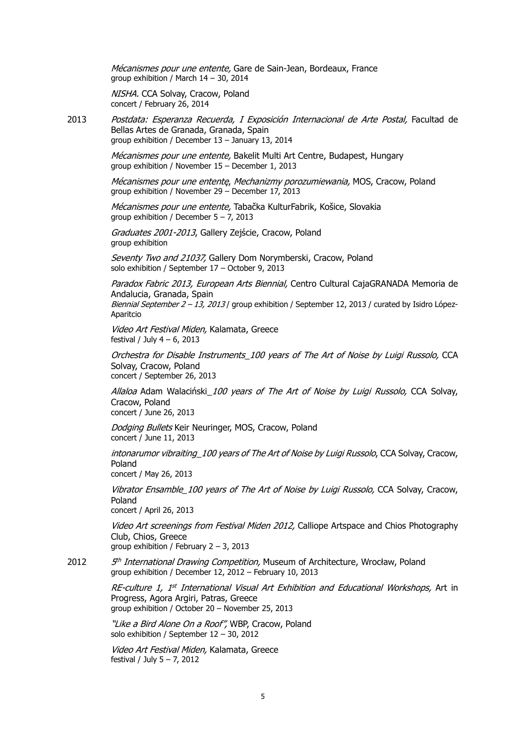Mécanismes pour une entente, Gare de Sain-Jean, Bordeaux, France group exhibition / March 14 – 30, 2014

NISHA. CCA Solvay, Cracow, Poland concert / February 26, 2014

2013 Postdata: Esperanza Recuerda, I Exposición Internacional de Arte Postal, Facultad de Bellas Artes de Granada, Granada, Spain group exhibition / December 13 – January 13, 2014

> Mécanismes pour une entente, Bakelit Multi Art Centre, Budapest, Hungary group exhibition / November 15 – December 1, 2013

Mécanismes pour une ententę, Mechanizmy porozumiewania, MOS, Cracow, Poland group exhibition / November 29 – December 17, 2013

Mécanismes pour une entente, Tabačka KulturFabrik, Košice, Slovakia group exhibition / December 5 – 7, 2013

Graduates 2001-2013, Gallery Zejście, Cracow, Poland group exhibition

Seventy Two and 21037, Gallery Dom Norymberski, Cracow, Poland solo exhibition / September 17 – October 9, 2013

Paradox Fabric 2013, European Arts Biennial, Centro Cultural CajaGRANADA Memoria de Andalucia, Granada, Spain

Biennial September  $2 - 13$ , 2013 / group exhibition / September 12, 2013 / curated by Isidro López-Aparitcio

Video Art Festival Miden, Kalamata, Greece festival / July  $4 - 6$ , 2013

Orchestra for Disable Instruments\_100 years of The Art of Noise by Luigi Russolo, CCA Solvay, Cracow, Poland concert / September 26, 2013

Allaloa Adam Walaciński 100 years of The Art of Noise by Luigi Russolo, CCA Solvay, Cracow, Poland concert / June 26, 2013

Dodging Bullets Keir Neuringer, MOS, Cracow, Poland concert / June 11, 2013

intonarumor vibraiting 100 years of The Art of Noise by Luigi Russolo, CCA Solvay, Cracow, Poland

concert / May 26, 2013

Vibrator Ensamble\_100 years of The Art of Noise by Luigi Russolo, CCA Solvay, Cracow, Poland

concert / April 26, 2013

Video Art screenings from Festival Miden 2012, Calliope Artspace and Chios Photography Club, Chios, Greece group exhibition / February 2 – 3, 2013

2012  $5<sup>th</sup> International Drawing Competition, Museum of Architecture, Wrockaw, Poland$ group exhibition / December 12, 2012 – February 10, 2013

> $RE$ -culture 1, 1<sup>st</sup> International Visual Art Exhibition and Educational Workshops, Art in Progress, Agora Argiri, Patras, Greece group exhibition / October 20 – November 25, 2013

"Like a Bird Alone On a Roof", WBP, Cracow, Poland solo exhibition / September 12 – 30, 2012

Video Art Festival Miden, Kalamata, Greece festival / July 5 – 7, 2012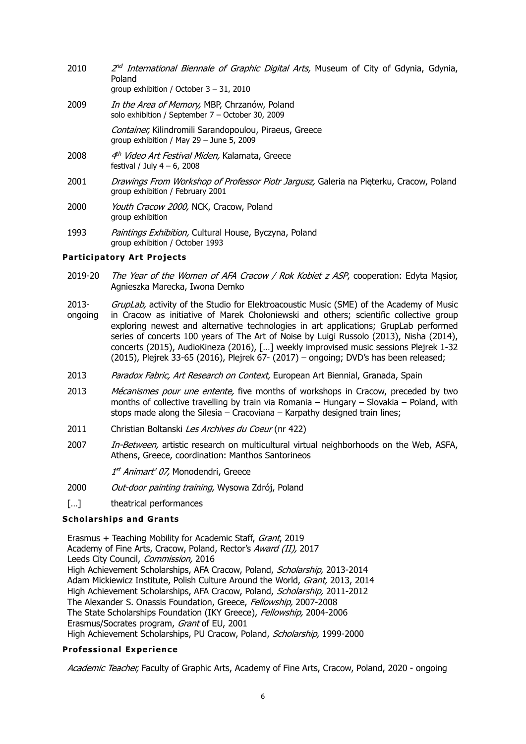- 2010  $2<sup>nd</sup> International Biemale of Graphic Digital Arts, Museum of City of Gdynia, Gdynia,$ Poland
	- group exhibition / October 3 31, 2010
- 2009 *In the Area of Memory*, MBP, Chrzanów, Poland solo exhibition / September 7 – October 30, 2009

Container, Kilindromili Sarandopoulou, Piraeus, Greece group exhibition / May 29 – June 5, 2009

- 2008 4th Video Art Festival Miden, Kalamata, Greece festival / July  $4 - 6$ , 2008
- 2001 Drawings From Workshop of Professor Piotr Jargusz, Galeria na Pięterku, Cracow, Poland group exhibition / February 2001
- 2000 Youth Cracow 2000, NCK, Cracow, Poland group exhibition
- 1993 Paintings Exhibition, Cultural House, Byczyna, Poland group exhibition / October 1993

# **Participatory Art Projects**

- 2019-20 The Year of the Women of AFA Cracow / Rok Kobiet z ASP, cooperation: Edyta Masior, Agnieszka Marecka, Iwona Demko
- 2013- GrupLab, activity of the Studio for Elektroacoustic Music (SME) of the Academy of Music
- ongoing in Cracow as initiative of Marek Chołoniewski and others; scientific collective group exploring newest and alternative technologies in art applications; GrupLab performed series of concerts 100 years of The Art of Noise by Luigi Russolo (2013), Nisha (2014), concerts (2015), AudioKineza (2016), […] weekly improvised music sessions Plejrek 1-32 (2015), Plejrek 33-65 (2016), Plejrek 67- (2017) – ongoing; DVD's has been released;
- 2013 Paradox Fabric, Art Research on Context, European Art Biennial, Granada, Spain
- 2013 Mécanismes pour une entente, five months of workshops in Cracow, preceded by two months of collective travelling by train via Romania – Hungary – Slovakia – Poland, with stops made along the Silesia – Cracoviana – Karpathy designed train lines;
- 2011 Christian Boltanski Les Archives du Coeur (nr 422)
- 2007 In-Between, artistic research on multicultural virtual neighborhoods on the Web, ASFA, Athens, Greece, coordination: Manthos Santorineos

1<sup>st</sup> Animart' 07, Monodendri, Greece

- 2000 Out-door painting training, Wysowa Zdrój, Poland
- [...] theatrical performances

## **Scholarships and Grants**

Erasmus + Teaching Mobility for Academic Staff, Grant, 2019 Academy of Fine Arts, Cracow, Poland, Rector's Award (II), 2017 Leeds City Council, Commission, 2016 High Achievement Scholarships, AFA Cracow, Poland, Scholarship, 2013-2014 Adam Mickiewicz Institute, Polish Culture Around the World, Grant, 2013, 2014 High Achievement Scholarships, AFA Cracow, Poland, Scholarship, 2011-2012 The Alexander S. Onassis Foundation, Greece, Fellowship, 2007-2008 The State Scholarships Foundation (IKY Greece), Fellowship, 2004-2006 Erasmus/Socrates program, Grant of EU, 2001 High Achievement Scholarships, PU Cracow, Poland, Scholarship, 1999-2000

## **Professional Experience**

Academic Teacher, Faculty of Graphic Arts, Academy of Fine Arts, Cracow, Poland, 2020 - ongoing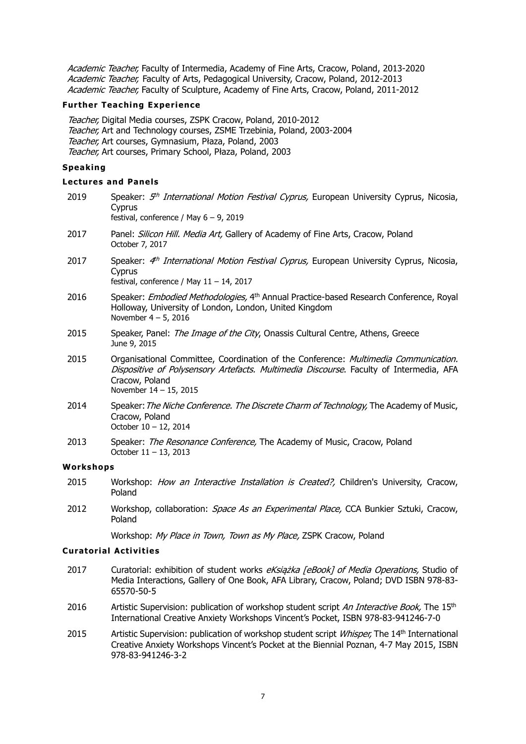Academic Teacher, Faculty of Intermedia, Academy of Fine Arts, Cracow, Poland, 2013-2020 Academic Teacher, Faculty of Arts, Pedagogical University, Cracow, Poland, 2012-2013 Academic Teacher, Faculty of Sculpture, Academy of Fine Arts, Cracow, Poland, 2011-2012

#### **Further Teaching Experience**

Teacher, Digital Media courses, ZSPK Cracow, Poland, 2010-2012 Teacher, Art and Technology courses, ZSME Trzebinia, Poland, 2003-2004 Teacher, Art courses, Gymnasium, Płaza, Poland, 2003 Teacher, Art courses, Primary School, Płaza, Poland, 2003

## **Speaking**

### **Lectures and Panels**

| 2019      | Speaker: 5 <sup>th</sup> International Motion Festival Cyprus, European University Cyprus, Nicosia,<br>Cyprus<br>festival, conference / May $6 - 9$ , 2019                                                                   |  |
|-----------|------------------------------------------------------------------------------------------------------------------------------------------------------------------------------------------------------------------------------|--|
| 2017      | Panel: Silicon Hill. Media Art, Gallery of Academy of Fine Arts, Cracow, Poland<br>October 7, 2017                                                                                                                           |  |
| 2017      | Speaker: 4 <sup>th</sup> International Motion Festival Cyprus, European University Cyprus, Nicosia,<br>Cyprus<br>festival, conference / May $11 - 14$ , 2017                                                                 |  |
| 2016      | Speaker: Embodied Methodologies, 4 <sup>th</sup> Annual Practice-based Research Conference, Royal<br>Holloway, University of London, London, United Kingdom<br>November $4-5$ , 2016                                         |  |
| 2015      | Speaker, Panel: The Image of the City, Onassis Cultural Centre, Athens, Greece<br>June 9, 2015                                                                                                                               |  |
| 2015      | Organisational Committee, Coordination of the Conference: Multimedia Communication.<br>Dispositive of Polysensory Artefacts. Multimedia Discourse. Faculty of Intermedia, AFA<br>Cracow, Poland<br>November $14 - 15$ , 2015 |  |
| 2014      | Speaker: The Niche Conference. The Discrete Charm of Technology, The Academy of Music,<br>Cracow, Poland<br>October 10 - 12, 2014                                                                                            |  |
| 2013      | Speaker: The Resonance Conference, The Academy of Music, Cracow, Poland<br>October 11 - 13, 2013                                                                                                                             |  |
| Workshops |                                                                                                                                                                                                                              |  |
| 2015      | Workshop: How an Interactive Installation is Created?, Children's University, Cracow,<br>Poland                                                                                                                              |  |
|           |                                                                                                                                                                                                                              |  |

2012 Workshop, collaboration: *Space As an Experimental Place*, CCA Bunkier Sztuki, Cracow, Poland

Workshop: My Place in Town, Town as My Place, ZSPK Cracow, Poland

## **Curatorial Activities**

- 2017 Curatorial: exhibition of student works eKsiażka [eBook] of Media Operations, Studio of Media Interactions, Gallery of One Book, AFA Library, Cracow, Poland; DVD ISBN 978-83- 65570-50-5
- 2016 Artistic Supervision: publication of workshop student script An Interactive Book, The 15<sup>th</sup> International Creative Anxiety Workshops Vincent's Pocket, ISBN 978-83-941246-7-0
- 2015 Artistic Supervision: publication of workshop student script *Whisper*, The 14<sup>th</sup> International Creative Anxiety Workshops Vincent's Pocket at the Biennial Poznan, 4-7 May 2015, ISBN 978-83-941246-3-2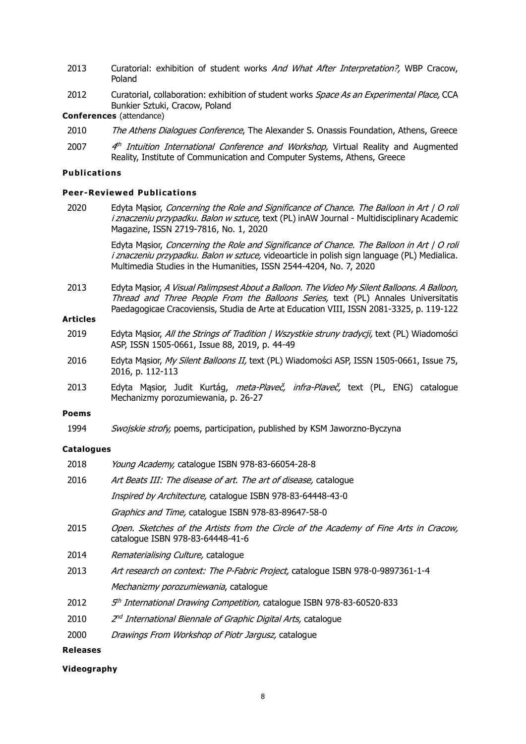- 2013 Curatorial: exhibition of student works And What After Interpretation?, WBP Cracow, Poland
- 2012 Curatorial, collaboration: exhibition of student works *Space As an Experimental Place*, CCA Bunkier Sztuki, Cracow, Poland

**Conferences** (attendance)

- 2010 The Athens Dialogues Conference, The Alexander S. Onassis Foundation, Athens, Greece
- 2007  $4<sup>th</sup>$  Intuition International Conference and Workshop, Virtual Reality and Augmented Reality, Institute of Communication and Computer Systems, Athens, Greece

# **Publications**

#### **Peer -Reviewed Publications**

2020 Edyta Masior, Concerning the Role and Significance of Chance. The Balloon in Art | O roli i znaczeniu przypadku. Balon w sztuce, text (PL) inAW Journal - Multidisciplinary Academic Magazine, ISSN 2719-7816, No. 1, 2020

> Edyta Mąsior, Concerning the Role and Significance of Chance. The Balloon in Art | O roli i znaczeniu przypadku. Balon w sztuce, videoarticle in polish sign language (PL) Medialica. Multimedia Studies in the Humanities, ISSN 2544-4204, No. 7, 2020

2013 Edyta Masior, A Visual Palimpsest About a Balloon. The Video My Silent Balloons. A Balloon, Thread and Three People From the Balloons Series, text (PL) Annales Universitatis Paedagogicae Cracoviensis, Studia de Arte at Education VIII, ISSN 2081-3325, p. 119-122

# **Articles**

- 2019 Edyta Masior, All the Strings of Tradition | Wszystkie struny tradycji, text (PL) Wiadomości ASP, ISSN 1505-0661, Issue 88, 2019, p. 44-49
- 2016 Edyta Mąsior, My Silent Balloons II, text (PL) Wiadomości ASP, ISSN 1505-0661, Issue 75, 2016, p. 112-113
- 2013 Edyta Mąsior, Judit Kurtág, *meta-Plaveč, infra-Plaveč,* text (PL, ENG) catalogue Mechanizmy porozumiewania, p. 26-27

### **Poems**

1994 Swojskie strofy, poems, participation, published by KSM Jaworzno-Byczyna

#### **Catalogues**

| 2018 | Young Academy, catalogue ISBN 978-83-66054-28-8                                                                          |
|------|--------------------------------------------------------------------------------------------------------------------------|
| 2016 | Art Beats III: The disease of art. The art of disease, catalogue                                                         |
|      | Inspired by Architecture, catalogue ISBN 978-83-64448-43-0                                                               |
|      | Graphics and Time, catalogue ISBN 978-83-89647-58-0                                                                      |
| 2015 | Open. Sketches of the Artists from the Circle of the Academy of Fine Arts in Cracow,<br>catalogue ISBN 978-83-64448-41-6 |
| 2014 | <i>Rematerialising Culture, catalogue</i>                                                                                |
| 2013 | Art research on context: The P-Fabric Project, catalogue ISBN 978-0-9897361-1-4                                          |
|      | Mechanizmy porozumiewania, catalogue                                                                                     |
| 2012 | 5 <sup>th</sup> International Drawing Competition, catalogue ISBN 978-83-60520-833                                       |
| 2010 | 2 <sup>nd</sup> International Biennale of Graphic Digital Arts, catalogue                                                |
| 2000 | Drawings From Workshop of Piotr Jargusz, catalogue                                                                       |

#### **Releases**

#### **Videography**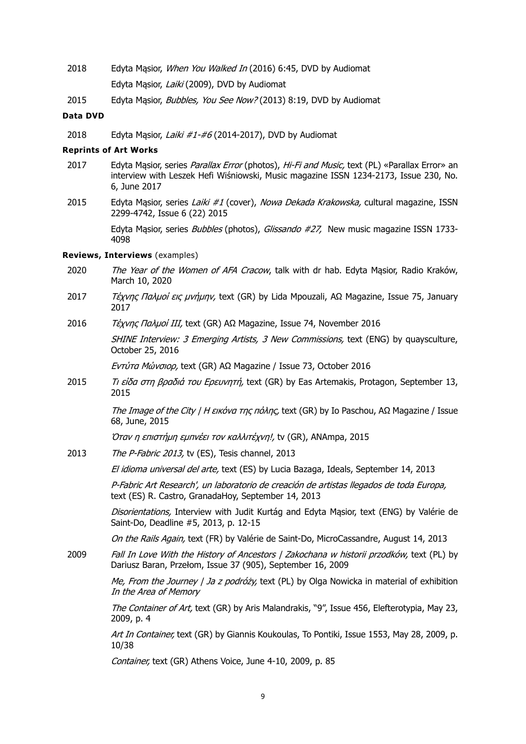- 2018 Edyta Mąsior, When You Walked In (2016) 6:45, DVD by Audiomat Edyta Masior, Laiki (2009), DVD by Audiomat
- 2015 Edyta Mąsior, Bubbles, You See Now? (2013) 8:19, DVD by Audiomat

### **Data DVD**

2018 Edyta Masior, *Laiki #1-#6* (2014-2017), DVD by Audiomat

## **Reprints of Art Works**

- 2017 Edyta Masior, series Parallax Error (photos), Hi-Fi and Music, text (PL) «Parallax Error» an interview with Leszek Hefi Wiśniowski, Music magazine ISSN 1234-2173, Issue 230, No. 6, June 2017
- 2015 Edyta Masior, series Laiki #1 (cover), Nowa Dekada Krakowska, cultural magazine, ISSN 2299-4742, Issue 6 (22) 2015

Edyta Masior, series Bubbles (photos), Glissando #27, New music magazine ISSN 1733-4098

#### **Reviews, Interviews** (examples)

- 2020 The Year of the Women of AFA Cracow, talk with dr hab. Edyta Masior, Radio Kraków, March 10, 2020
- 2017 Τέχνης Παλμοί εις μνήμην, text (GR) by Lida Mpouzali, ΑΩ Magazine, Issue 75, January 2017
- 2016 Τέχνης Παλμοί ΙΙΙ, text (GR) ΑΩ Magazine, Issue 74, November 2016

SHINE Interview: 3 Emerging Artists, 3 New Commissions, text (ENG) by quaysculture, October 25, 2016

Εντύτα Μώνσιορ, text (GR) ΑΩ Magazine / Issue 73, October 2016

2015 *Τι είδα στη βραδιά του Ερευνητή*, text (GR) by Eas Artemakis, Protagon, September 13, 2015

> The Image of the City | Η εικόνα της πόλης, text (GR) by Io Paschou, ΑΩ Magazine / Issue 68, June, 2015

Όταν η επιστήμη εμπνέει τον καλλιτέχνη!, tv (GR), ANAmpa, 2015

2013 The P-Fabric 2013, tv (ES), Tesis channel, 2013

El idioma universal del arte, text (ES) by Lucia Bazaga, Ideals, September 14, 2013

P-Fabric Art Research', un laboratorio de creación de artistas llegados de toda Europa, text (ES) R. Castro, GranadaHoy, September 14, 2013

Disorientations, Interview with Judit Kurtág and Edyta Masior, text (ENG) by Valérie de Saint-Do, Deadline #5, 2013, p. 12-15

On the Rails Again, text (FR) by Valérie de Saint-Do, MicroCassandre, August 14, 2013

2009 Fall In Love With the History of Ancestors | Zakochana w historii przodków, text (PL) by Dariusz Baran, Przełom, Issue 37 (905), September 16, 2009

> Me, From the Journey | Ja z podróży, text (PL) by Olga Nowicka in material of exhibition In the Area of Memory

> The Container of Art, text (GR) by Aris Malandrakis, "9", Issue 456, Elefterotypia, May 23, 2009, p. 4

> Art In Container, text (GR) by Giannis Koukoulas, To Pontiki, Issue 1553, May 28, 2009, p. 10/38

Container, text (GR) Αthens Voice, June 4-10, 2009, p. 85